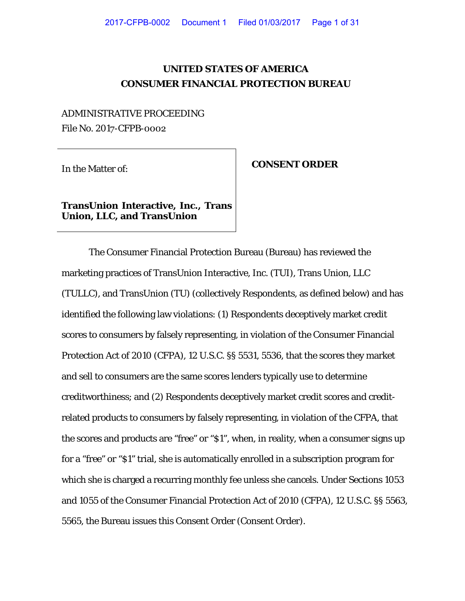# **UNITED STATES OF AMERICA CONSUMER FINANCIAL PROTECTION BUREAU**

# ADMINISTRATIVE PROCEEDING File No. 2017-CFPB-0002

# In the Matter of: **CONSENT ORDER**

# **TransUnion Interactive, Inc., Trans Union, LLC, and TransUnion**

The Consumer Financial Protection Bureau (Bureau) has reviewed the marketing practices of TransUnion Interactive, Inc. (TUI), Trans Union, LLC (TULLC), and TransUnion (TU) (collectively Respondents, as defined below) and has identified the following law violations: (1) Respondents deceptively market credit scores to consumers by falsely representing, in violation of the Consumer Financial Protection Act of 2010 (CFPA), 12 U.S.C. §§ 5531, 5536, that the scores they market and sell to consumers are the same scores lenders typically use to determine creditworthiness; and (2) Respondents deceptively market credit scores and creditrelated products to consumers by falsely representing, in violation of the CFPA, that the scores and products are "free" or "\$1", when, in reality, when a consumer signs up for a "free" or "\$1" trial, she is automatically enrolled in a subscription program for which she is charged a recurring monthly fee unless she cancels. Under Sections 1053 and 1055 of the Consumer Financial Protection Act of 2010 (CFPA), 12 U.S.C. §§ 5563, 5565, the Bureau issues this Consent Order (Consent Order).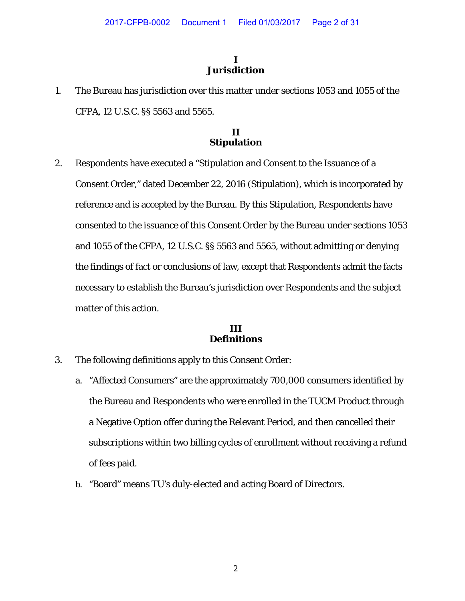# **I Jurisdiction**

1. The Bureau has jurisdiction over this matter under sections 1053 and 1055 of the CFPA, 12 U.S.C. §§ 5563 and 5565.

# **II Stipulation**

2. Respondents have executed a "Stipulation and Consent to the Issuance of a Consent Order," dated December 22, 2016 (Stipulation), which is incorporated by reference and is accepted by the Bureau. By this Stipulation, Respondents have consented to the issuance of this Consent Order by the Bureau under sections 1053 and 1055 of the CFPA, 12 U.S.C. §§ 5563 and 5565, without admitting or denying the findings of fact or conclusions of law, except that Respondents admit the facts necessary to establish the Bureau's jurisdiction over Respondents and the subject matter of this action.

# **III Definitions**

- 3. The following definitions apply to this Consent Order:
	- a. "Affected Consumers" are the approximately 700,000 consumers identified by the Bureau and Respondents who were enrolled in the TUCM Product through a Negative Option offer during the Relevant Period, and then cancelled their subscriptions within two billing cycles of enrollment without receiving a refund of fees paid.
	- b. "Board" means TU's duly-elected and acting Board of Directors.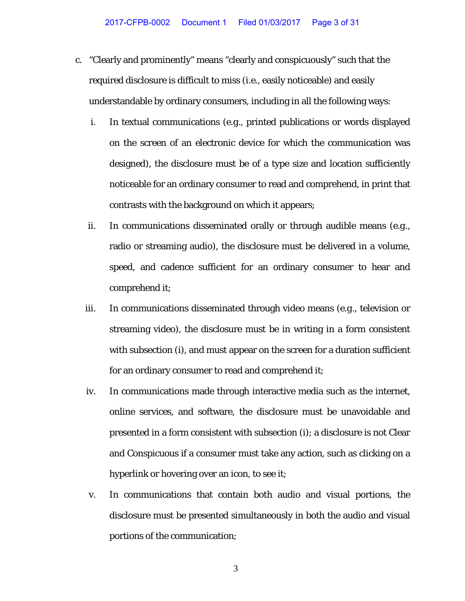- c. "Clearly and prominently" means "clearly and conspicuously" such that the required disclosure is difficult to miss (*i.e*., easily noticeable) and easily understandable by ordinary consumers, including in all the following ways:
	- i. In textual communications (*e.g.*, printed publications or words displayed on the screen of an electronic device for which the communication was designed), the disclosure must be of a type size and location sufficiently noticeable for an ordinary consumer to read and comprehend, in print that contrasts with the background on which it appears;
	- ii. In communications disseminated orally or through audible means (*e.g*., radio or streaming audio), the disclosure must be delivered in a volume, speed, and cadence sufficient for an ordinary consumer to hear and comprehend it;
	- iii. In communications disseminated through video means (*e.g*., television or streaming video), the disclosure must be in writing in a form consistent with subsection (i), and must appear on the screen for a duration sufficient for an ordinary consumer to read and comprehend it;
	- iv. In communications made through interactive media such as the internet, online services, and software, the disclosure must be unavoidable and presented in a form consistent with subsection (i); a disclosure is not Clear and Conspicuous if a consumer must take any action, such as clicking on a hyperlink or hovering over an icon, to see it;
	- v. In communications that contain both audio and visual portions, the disclosure must be presented simultaneously in both the audio and visual portions of the communication;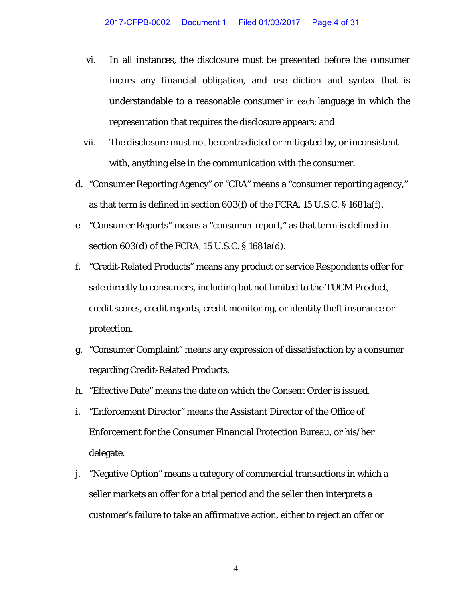- vi. In all instances, the disclosure must be presented before the consumer incurs any financial obligation, and use diction and syntax that is understandable to a reasonable consumer in each language in which the representation that requires the disclosure appears; and
- vii. The disclosure must not be contradicted or mitigated by, or inconsistent with, anything else in the communication with the consumer.
- d. "Consumer Reporting Agency" or "CRA" means a "consumer reporting agency," as that term is defined in section 603(f) of the FCRA, 15 U.S.C. § 1681a(f).
- e. "Consumer Reports" means a "consumer report," as that term is defined in section 603(d) of the FCRA, 15 U.S.C. § 1681a(d).
- f. "Credit-Related Products" means any product or service Respondents offer for sale directly to consumers, including but not limited to the TUCM Product, credit scores, credit reports, credit monitoring, or identity theft insurance or protection.
- g. "Consumer Complaint" means any expression of dissatisfaction by a consumer regarding Credit-Related Products.
- h. "Effective Date" means the date on which the Consent Order is issued.
- i. "Enforcement Director" means the Assistant Director of the Office of Enforcement for the Consumer Financial Protection Bureau, or his/her delegate.
- j. "Negative Option" means a category of commercial transactions in which a seller markets an offer for a trial period and the seller then interprets a customer's failure to take an affirmative action, either to reject an offer or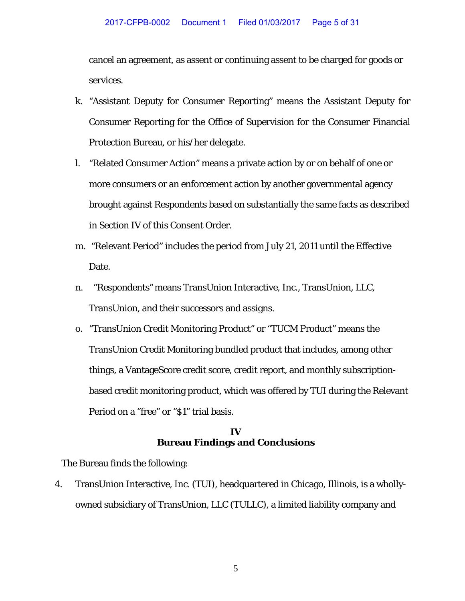cancel an agreement, as assent or continuing assent to be charged for goods or services.

- k. "Assistant Deputy for Consumer Reporting" means the Assistant Deputy for Consumer Reporting for the Office of Supervision for the Consumer Financial Protection Bureau, or his/her delegate.
- l. "Related Consumer Action" means a private action by or on behalf of one or more consumers or an enforcement action by another governmental agency brought against Respondents based on substantially the same facts as described in Section IV of this Consent Order.
- m. "Relevant Period" includes the period from July 21, 2011 until the Effective Date.
- n. "Respondents" means TransUnion Interactive, Inc., TransUnion, LLC, TransUnion, and their successors and assigns.
- o. "TransUnion Credit Monitoring Product" or "TUCM Product" means the TransUnion Credit Monitoring bundled product that includes, among other things, a VantageScore credit score, credit report, and monthly subscriptionbased credit monitoring product, which was offered by TUI during the Relevant Period on a "free" or "\$1" trial basis.

### **IV Bureau Findings and Conclusions**

The Bureau finds the following:

4. TransUnion Interactive, Inc. (TUI), headquartered in Chicago, Illinois, is a whollyowned subsidiary of TransUnion, LLC (TULLC), a limited liability company and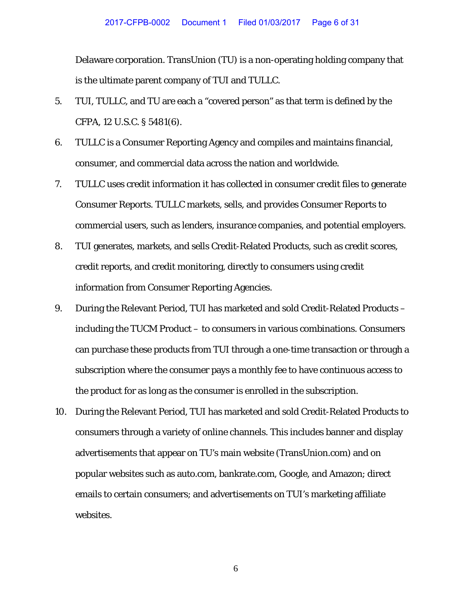Delaware corporation. TransUnion (TU) is a non-operating holding company that is the ultimate parent company of TUI and TULLC.

- 5. TUI, TULLC, and TU are each a "covered person" as that term is defined by the CFPA, 12 U.S.C. § 5481(6).
- 6. TULLC is a Consumer Reporting Agency and compiles and maintains financial, consumer, and commercial data across the nation and worldwide.
- 7. TULLC uses credit information it has collected in consumer credit files to generate Consumer Reports. TULLC markets, sells, and provides Consumer Reports to commercial users, such as lenders, insurance companies, and potential employers.
- 8. TUI generates, markets, and sells Credit-Related Products, such as credit scores, credit reports, and credit monitoring, directly to consumers using credit information from Consumer Reporting Agencies.
- 9. During the Relevant Period, TUI has marketed and sold Credit-Related Products including the TUCM Product – to consumers in various combinations. Consumers can purchase these products from TUI through a one-time transaction or through a subscription where the consumer pays a monthly fee to have continuous access to the product for as long as the consumer is enrolled in the subscription.
- 10. During the Relevant Period, TUI has marketed and sold Credit-Related Products to consumers through a variety of online channels. This includes banner and display advertisements that appear on TU's main website (TransUnion.com) and on popular websites such as auto.com, bankrate.com, Google, and Amazon; direct emails to certain consumers; and advertisements on TUI's marketing affiliate websites.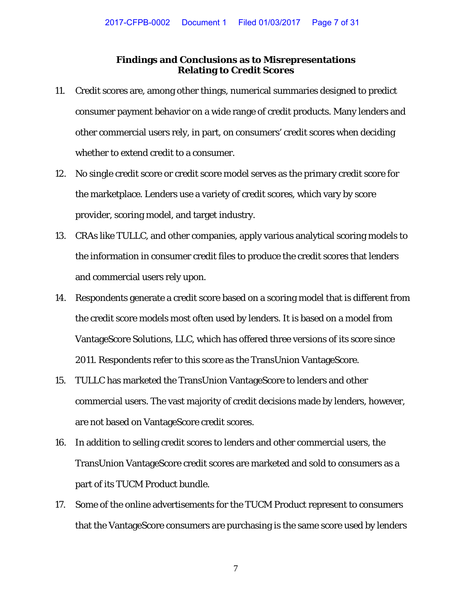#### **Findings and Conclusions as to Misrepresentations Relating to Credit Scores**

- 11. Credit scores are, among other things, numerical summaries designed to predict consumer payment behavior on a wide range of credit products. Many lenders and other commercial users rely, in part, on consumers' credit scores when deciding whether to extend credit to a consumer.
- 12. No single credit score or credit score model serves as the primary credit score for the marketplace. Lenders use a variety of credit scores, which vary by score provider, scoring model, and target industry.
- 13. CRAs like TULLC, and other companies, apply various analytical scoring models to the information in consumer credit files to produce the credit scores that lenders and commercial users rely upon.
- 14. Respondents generate a credit score based on a scoring model that is different from the credit score models most often used by lenders. It is based on a model from VantageScore Solutions, LLC, which has offered three versions of its score since 2011. Respondents refer to this score as the TransUnion VantageScore.
- 15. TULLC has marketed the TransUnion VantageScore to lenders and other commercial users. The vast majority of credit decisions made by lenders, however, are not based on VantageScore credit scores.
- 16. In addition to selling credit scores to lenders and other commercial users, the TransUnion VantageScore credit scores are marketed and sold to consumers as a part of its TUCM Product bundle.
- 17. Some of the online advertisements for the TUCM Product represent to consumers that the VantageScore consumers are purchasing is the same score used by lenders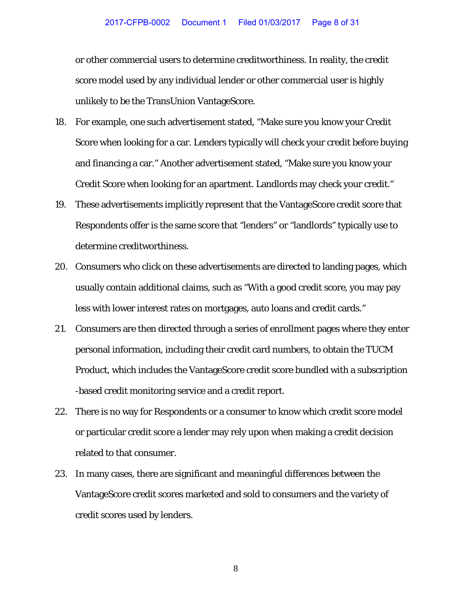or other commercial users to determine creditworthiness. In reality, the credit score model used by any individual lender or other commercial user is highly unlikely to be the TransUnion VantageScore.

- 18. For example, one such advertisement stated, "Make sure you know your Credit Score when looking for a car. Lenders typically will check your credit before buying and financing a car." Another advertisement stated, "Make sure you know your Credit Score when looking for an apartment. Landlords may check your credit."
- 19. These advertisements implicitly represent that the VantageScore credit score that Respondents offer is the same score that "lenders" or "landlords" typically use to determine creditworthiness.
- 20. Consumers who click on these advertisements are directed to landing pages, which usually contain additional claims, such as "With a good credit score, you may pay less with lower interest rates on mortgages, auto loans and credit cards."
- 21. Consumers are then directed through a series of enrollment pages where they enter personal information, including their credit card numbers, to obtain the TUCM Product, which includes the VantageScore credit score bundled with a subscription -based credit monitoring service and a credit report.
- 22. There is no way for Respondents or a consumer to know which credit score model or particular credit score a lender may rely upon when making a credit decision related to that consumer.
- 23. In many cases, there are significant and meaningful differences between the VantageScore credit scores marketed and sold to consumers and the variety of credit scores used by lenders.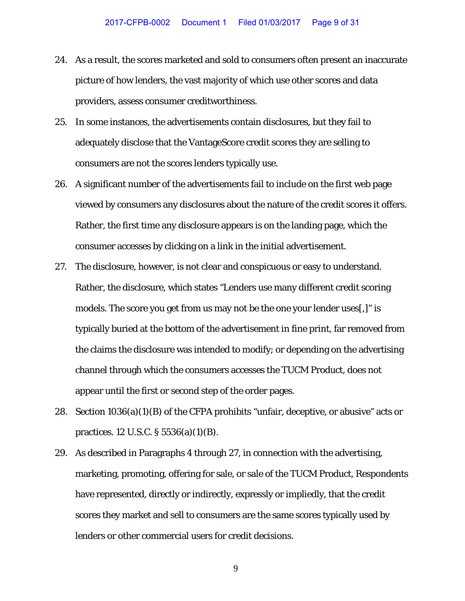- 24. As a result, the scores marketed and sold to consumers often present an inaccurate picture of how lenders, the vast majority of which use other scores and data providers, assess consumer creditworthiness.
- 25. In some instances, the advertisements contain disclosures, but they fail to adequately disclose that the VantageScore credit scores they are selling to consumers are not the scores lenders typically use.
- 26. A significant number of the advertisements fail to include on the first web page viewed by consumers any disclosures about the nature of the credit scores it offers. Rather, the first time any disclosure appears is on the landing page, which the consumer accesses by clicking on a link in the initial advertisement.
- 27. The disclosure, however, is not clear and conspicuous or easy to understand. Rather, the disclosure, which states "Lenders use many different credit scoring models. The score you get from us may not be the one your lender uses[,]" is typically buried at the bottom of the advertisement in fine print, far removed from the claims the disclosure was intended to modify; or depending on the advertising channel through which the consumers accesses the TUCM Product, does not appear until the first or second step of the order pages.
- 28. Section 1036(a)(1)(B) of the CFPA prohibits "unfair, deceptive, or abusive" acts or practices. 12 U.S.C. § 5536(a)(1)(B).
- 29. As described in Paragraphs 4 through 27, in connection with the advertising, marketing, promoting, offering for sale, or sale of the TUCM Product, Respondents have represented, directly or indirectly, expressly or impliedly, that the credit scores they market and sell to consumers are the same scores typically used by lenders or other commercial users for credit decisions.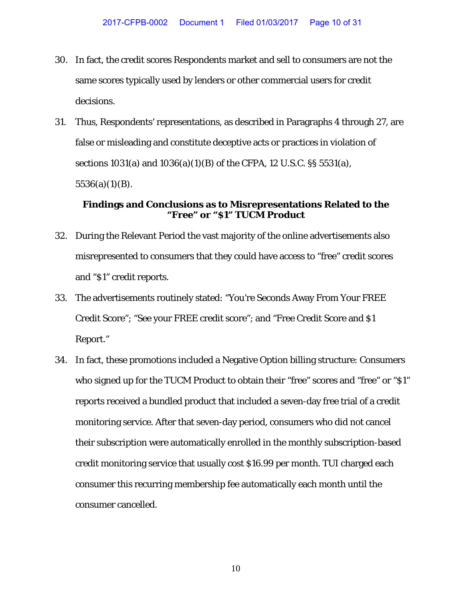- 30. In fact, the credit scores Respondents market and sell to consumers are not the same scores typically used by lenders or other commercial users for credit decisions.
- 31. Thus, Respondents' representations, as described in Paragraphs 4 through 27, are false or misleading and constitute deceptive acts or practices in violation of sections 1031(a) and 1036(a)(1)(B) of the CFPA, 12 U.S.C. §§ 5531(a),  $5536(a)(1)(B)$ .

## **Findings and Conclusions as to Misrepresentations Related to the "Free" or "\$1" TUCM Product**

- 32. During the Relevant Period the vast majority of the online advertisements also misrepresented to consumers that they could have access to "free" credit scores and "\$1" credit reports.
- 33. The advertisements routinely stated: "You're Seconds Away From Your FREE Credit Score"; "See your FREE credit score"; and "Free Credit Score and \$1 Report."
- 34. In fact, these promotions included a Negative Option billing structure: Consumers who signed up for the TUCM Product to obtain their "free" scores and "free" or "\$1" reports received a bundled product that included a seven-day free trial of a credit monitoring service. After that seven-day period, consumers who did not cancel their subscription were automatically enrolled in the monthly subscription-based credit monitoring service that usually cost \$16.99 per month. TUI charged each consumer this recurring membership fee automatically each month until the consumer cancelled.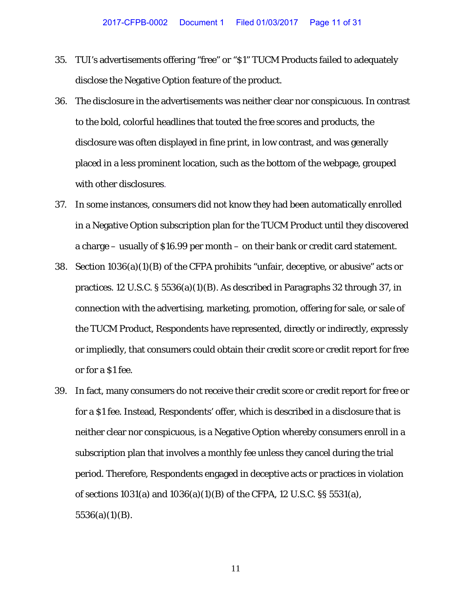- 35. TUI's advertisements offering "free" or "\$1" TUCM Products failed to adequately disclose the Negative Option feature of the product.
- 36. The disclosure in the advertisements was neither clear nor conspicuous. In contrast to the bold, colorful headlines that touted the free scores and products, the disclosure was often displayed in fine print, in low contrast, and was generally placed in a less prominent location, such as the bottom of the webpage, grouped with other disclosures.
- 37. In some instances, consumers did not know they had been automatically enrolled in a Negative Option subscription plan for the TUCM Product until they discovered a charge – usually of \$16.99 per month – on their bank or credit card statement.
- 38. Section 1036(a)(1)(B) of the CFPA prohibits "unfair, deceptive, or abusive" acts or practices. 12 U.S.C. § 5536(a)(1)(B). As described in Paragraphs 32 through 37, in connection with the advertising, marketing, promotion, offering for sale, or sale of the TUCM Product, Respondents have represented, directly or indirectly, expressly or impliedly, that consumers could obtain their credit score or credit report for free or for a \$1 fee.
- 39. In fact, many consumers do not receive their credit score or credit report for free or for a \$1 fee. Instead, Respondents' offer, which is described in a disclosure that is neither clear nor conspicuous, is a Negative Option whereby consumers enroll in a subscription plan that involves a monthly fee unless they cancel during the trial period. Therefore, Respondents engaged in deceptive acts or practices in violation of sections 1031(a) and 1036(a)(1)(B) of the CFPA, 12 U.S.C. §§ 5531(a),  $5536(a)(1)(B)$ .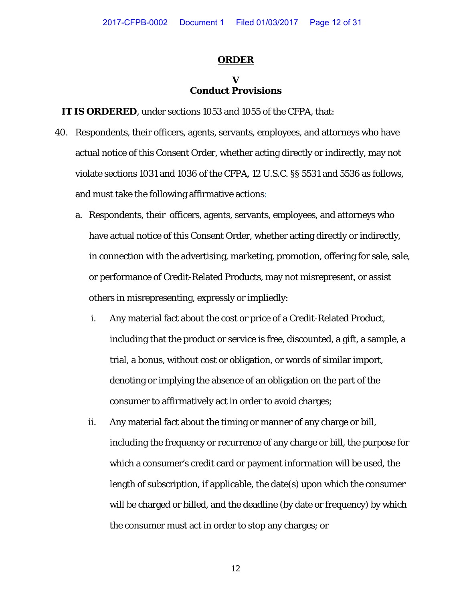#### **ORDER**

#### **V Conduct Provisions**

**IT IS ORDERED**, under sections 1053 and 1055 of the CFPA, that:

- 40. Respondents, their officers, agents, servants, employees, and attorneys who have actual notice of this Consent Order*,* whether acting directly or indirectly, may not violate sections 1031 and 1036 of the CFPA, 12 U.S.C. §§ 5531 and 5536 as follows, and must take the following affirmative actions:
	- a. Respondents, their officers, agents, servants, employees, and attorneys who have actual notice of this Consent Order, whether acting directly or indirectly, in connection with the advertising, marketing, promotion, offering for sale, sale, or performance of Credit-Related Products, may not misrepresent, or assist others in misrepresenting, expressly or impliedly:
		- i. Any material fact about the cost or price of a Credit-Related Product, including that the product or service is free, discounted, a gift, a sample, a trial, a bonus, without cost or obligation, or words of similar import, denoting or implying the absence of an obligation on the part of the consumer to affirmatively act in order to avoid charges;
		- ii. Any material fact about the timing or manner of any charge or bill, including the frequency or recurrence of any charge or bill, the purpose for which a consumer's credit card or payment information will be used, the length of subscription, if applicable, the date(s) upon which the consumer will be charged or billed, and the deadline (by date or frequency) by which the consumer must act in order to stop any charges; or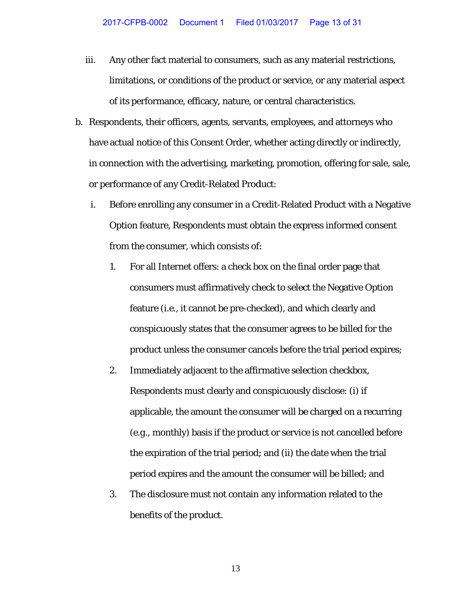- iii. ii. Any other fact material to consumers, such as any material restrictions, limitations, or conditions of the product or service, or any material aspect of its performance, efficacy, nature, or central characteristics.
- b. Respondents, their officers, agents, servants, employees, and attorneys who Respondents, their officers, agents, servants, employees, and attorneys who<br>have actual notice of this Consent Order, whether acting directly or indirectly, in connection with the advertising, marketing, promotion, offering for sale, sale, or performance of any Credit-Related Product:
	- i. Before enrolling any consumer in a Credit-Related Product with a Negative Option feature, Respondents must obtain the express informed consent from the consumer, which consists of:
		- $1<sub>r</sub>$ consumers must affirmatively check to select the Negative Option feature (*i.e.*, it cannot be pre-checked), and which clearly and conspicuously states that the consumer agrees to be billed for the consumers must affirmatively check to select the Negative Option<br>feature (*i.e.*, it cannot be pre-checked), and which clearly and<br>conspicuously states that the consumer agrees to be billed for the<br>product unless the consu For all Internet offers: a check box on the final order page that
		- $2.$ applicable, the amount the consumer will be charged on a recurring the expiration of the trial period; and (ii) the date when the trial period expires and the amount the consumer will be billed; and Immediately adjacent to the affirmative selection checkbox, Respondents must clearly and conspicuously disclose: (i) if (e.g., monthly) basis if the product or service is not cancelled before
		- $3.$ benefits of the product. The disclosure must not contain any information related to the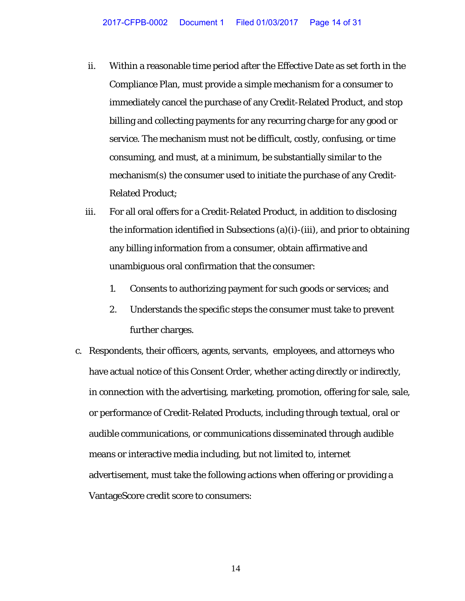- ii. Within a reasonable time period after the Effective Date as set forth in the Compliance Plan, must provide a simple mechanism for a consumer to immediately cancel the purchase of any Credit-Related Product, and stop billing and collecting payments for any recurring charge for any good or service. The mechanism must not be difficult, costly, confusing, or time consuming, and must, at a minimum, be substantially similar to the mechanism(s) the consumer used to initiate the purchase of any Credit-Related Product;
- iii. For all oral offers for a Credit-Related Product, in addition to disclosing the information identified in Subsections (a)(i)-(iii), and prior to obtaining any billing information from a consumer, obtain affirmative and unambiguous oral confirmation that the consumer:
	- 1. Consents to authorizing payment for such goods or services; and
	- 2. Understands the specific steps the consumer must take to prevent further charges.
- c. Respondents, their officers, agents, servants, employees, and attorneys who have actual notice of this Consent Order, whether acting directly or indirectly, in connection with the advertising, marketing, promotion, offering for sale, sale, or performance of Credit-Related Products, including through textual, oral or audible communications, or communications disseminated through audible means or interactive media including, but not limited to, internet advertisement, must take the following actions when offering or providing a VantageScore credit score to consumers: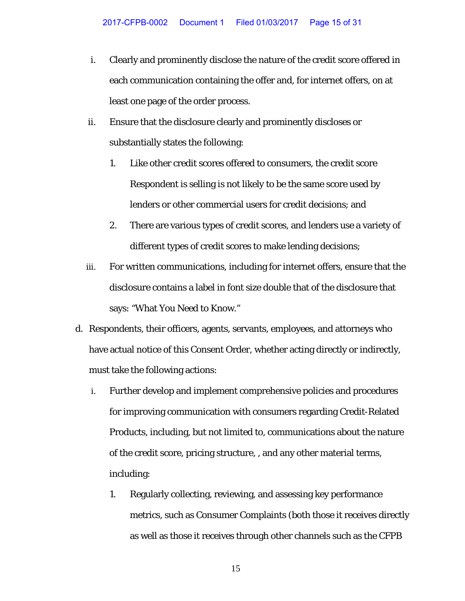- i. Clearly and prominently disclose the nature of the credit score offered in each communication containing the offer and, for internet offers, on at least one page of the order process.
- ii. Ensure that the disclosure clearly and prominently discloses or substantially states the following:
	- 1. Like other credit scores offered to consumers, the credit score Respondent is selling is not likely to be the same score used by lenders or other commercial users for credit decisions; and
	- 2. There are various types of credit scores, and lenders use a variety of different types of credit scores to make lending decisions;
- iii. For written communications, including for internet offers, ensure that the disclosure contains a label in font size double that of the disclosure that says: "What You Need to Know."
- d. Respondents, their officers, agents, servants, employees, and attorneys who have actual notice of this Consent Order, whether acting directly or indirectly, must take the following actions:
	- i. Further develop and implement comprehensive policies and procedures for improving communication with consumers regarding Credit-Related Products, including, but not limited to, communications about the nature of the credit score, pricing structure, , and any other material terms, including:
		- 1. Regularly collecting, reviewing, and assessing key performance metrics, such as Consumer Complaints (both those it receives directly as well as those it receives through other channels such as the CFPB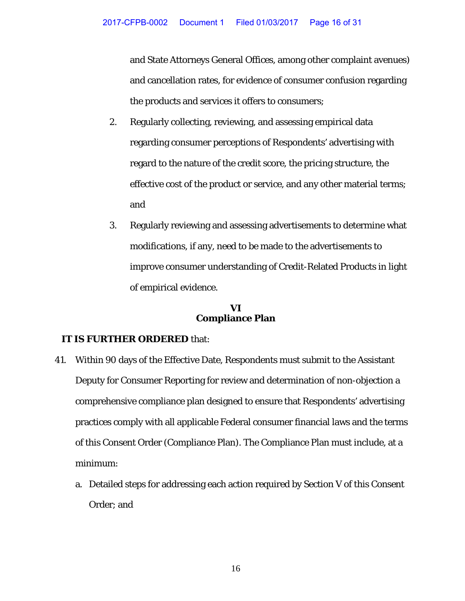and State Attorneys General Offices, among other complaint avenues) and cancellation rates, for evidence of consumer confusion regarding the products and services it offers to consumers;

- 2. Regularly collecting, reviewing, and assessing empirical data regarding consumer perceptions of Respondents' advertising with regard to the nature of the credit score, the pricing structure, the effective cost of the product or service, and any other material terms; and
- 3. Regularly reviewing and assessing advertisements to determine what modifications, if any, need to be made to the advertisements to improve consumer understanding of Credit-Related Products in light of empirical evidence.

### **VI Compliance Plan**

- 41. Within 90 days of the Effective Date, Respondents must submit to the Assistant Deputy for Consumer Reporting for review and determination of non-objection a comprehensive compliance plan designed to ensure that Respondents' advertising practices comply with all applicable Federal consumer financial laws and the terms of this Consent Order (Compliance Plan). The Compliance Plan must include, at a minimum:
	- a. Detailed steps for addressing each action required by Section V of this Consent Order; and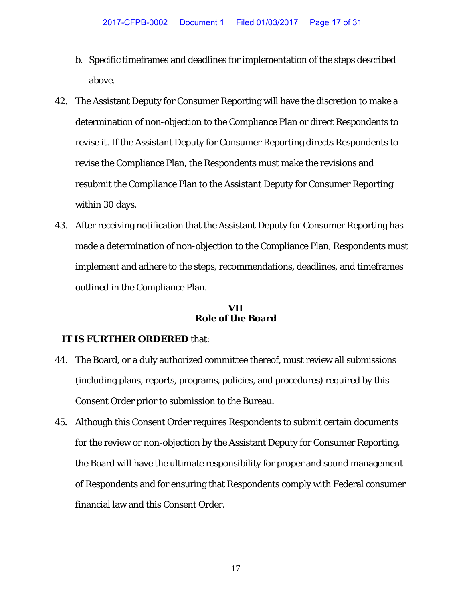- b. Specific timeframes and deadlines for implementation of the steps described above.
- 42. The Assistant Deputy for Consumer Reporting will have the discretion to make a determination of non-objection to the Compliance Plan or direct Respondents to revise it. If the Assistant Deputy for Consumer Reporting directs Respondents to revise the Compliance Plan, the Respondents must make the revisions and resubmit the Compliance Plan to the Assistant Deputy for Consumer Reporting within 30 days.
- 43. After receiving notification that the Assistant Deputy for Consumer Reporting has made a determination of non-objection to the Compliance Plan, Respondents must implement and adhere to the steps, recommendations, deadlines, and timeframes outlined in the Compliance Plan.

#### **VII Role of the Board**

- 44. The Board, or a duly authorized committee thereof, must review all submissions (including plans, reports, programs, policies, and procedures) required by this Consent Order prior to submission to the Bureau.
- 45. Although this Consent Order requires Respondents to submit certain documents for the review or non-objection by the Assistant Deputy for Consumer Reporting, the Board will have the ultimate responsibility for proper and sound management of Respondents and for ensuring that Respondents comply with Federal consumer financial law and this Consent Order.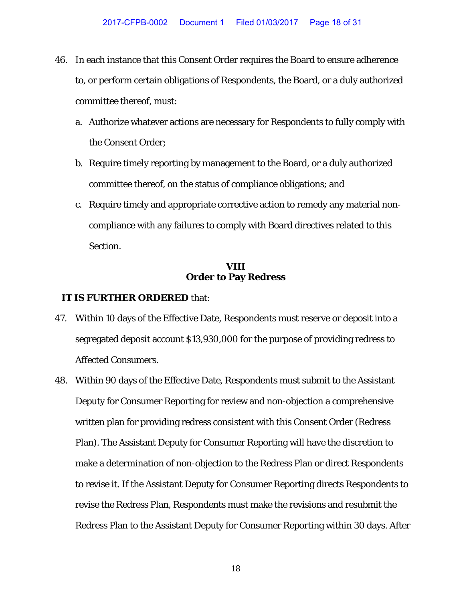- 46. In each instance that this Consent Order requires the Board to ensure adherence to, or perform certain obligations of Respondents, the Board, or a duly authorized committee thereof, must:
	- a. Authorize whatever actions are necessary for Respondents to fully comply with the Consent Order;
	- b. Require timely reporting by management to the Board, or a duly authorized committee thereof, on the status of compliance obligations; and
	- c. Require timely and appropriate corrective action to remedy any material noncompliance with any failures to comply with Board directives related to this Section.

#### **VIII Order to Pay Redress**

- 47. Within 10 days of the Effective Date, Respondents must reserve or deposit into a segregated deposit account \$13,930,000 for the purpose of providing redress to Affected Consumers.
- 48. Within 90 days of the Effective Date, Respondents must submit to the Assistant Deputy for Consumer Reporting for review and non-objection a comprehensive written plan for providing redress consistent with this Consent Order (Redress Plan). The Assistant Deputy for Consumer Reporting will have the discretion to make a determination of non-objection to the Redress Plan or direct Respondents to revise it. If the Assistant Deputy for Consumer Reporting directs Respondents to revise the Redress Plan, Respondents must make the revisions and resubmit the Redress Plan to the Assistant Deputy for Consumer Reporting within 30 days. After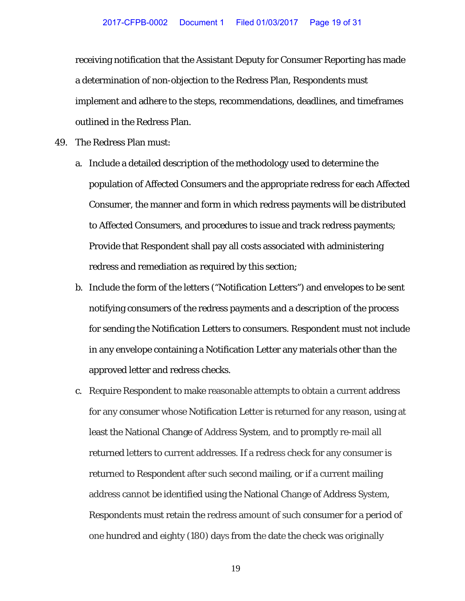receiving notification that the Assistant Deputy for Consumer Reporting has made a determination of non-objection to the Redress Plan, Respondents must implement and adhere to the steps, recommendations, deadlines, and timeframes outlined in the Redress Plan.

- 49. The Redress Plan must:
	- a. Include a detailed description of the methodology used to determine the population of Affected Consumers and the appropriate redress for each Affected Consumer, the manner and form in which redress payments will be distributed to Affected Consumers, and procedures to issue and track redress payments; Provide that Respondent shall pay all costs associated with administering redress and remediation as required by this section;
	- b. Include the form of the letters ("Notification Letters") and envelopes to be sent notifying consumers of the redress payments and a description of the process for sending the Notification Letters to consumers. Respondent must not include in any envelope containing a Notification Letter any materials other than the approved letter and redress checks.
	- c. Require Respondent to make reasonable attempts to obtain a current address for any consumer whose Notification Letter is returned for any reason, using at least the National Change of Address System, and to promptly re-mail all returned letters to current addresses. If a redress check for any consumer is returned to Respondent after such second mailing, or if a current mailing address cannot be identified using the National Change of Address System, Respondents must retain the redress amount of such consumer for a period of one hundred and eighty (180) days from the date the check was originally
		- 19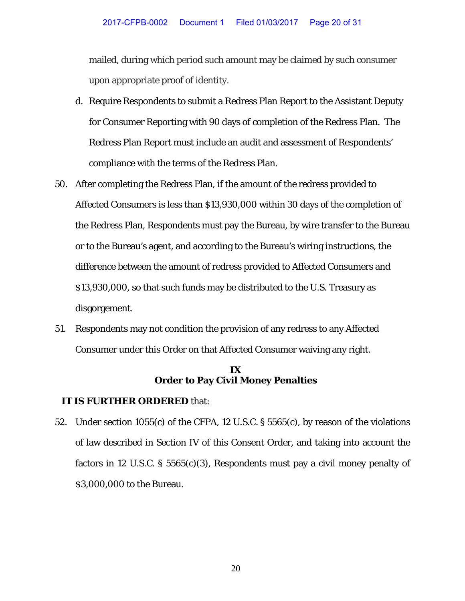mailed, during which period such amount may be claimed by such consumer upon appropriate proof of identity.

- d. Require Respondents to submit a Redress Plan Report to the Assistant Deputy for Consumer Reporting with 90 days of completion of the Redress Plan. The Redress Plan Report must include an audit and assessment of Respondents' compliance with the terms of the Redress Plan.
- 50. After completing the Redress Plan, if the amount of the redress provided to Affected Consumers is less than \$13,930,000 within 30 days of the completion of the Redress Plan, Respondents must pay the Bureau, by wire transfer to the Bureau or to the Bureau's agent, and according to the Bureau's wiring instructions, the difference between the amount of redress provided to Affected Consumers and \$13,930,000, so that such funds may be distributed to the U.S. Treasury as disgorgement.
- 51. Respondents may not condition the provision of any redress to any Affected Consumer under this Order on that Affected Consumer waiving any right.

### **IX Order to Pay Civil Money Penalties**

### **IT IS FURTHER ORDERED** that:

52. Under section 1055(c) of the CFPA, 12 U.S.C. § 5565(c), by reason of the violations of law described in Section IV of this Consent Order, and taking into account the factors in 12 U.S.C. § 5565 $(c)(3)$ , Respondents must pay a civil money penalty of \$3,000,000 to the Bureau.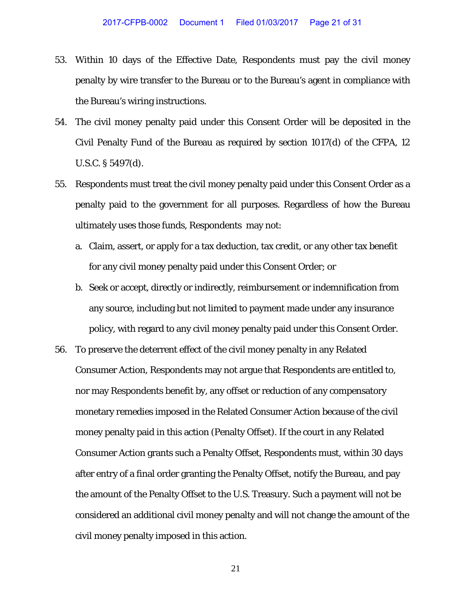- 53. Within 10 days of the Effective Date, Respondents must pay the civil money penalty by wire transfer to the Bureau or to the Bureau's agent in compliance with the Bureau's wiring instructions.
- 54. The civil money penalty paid under this Consent Order will be deposited in the Civil Penalty Fund of the Bureau as required by section 1017(d) of the CFPA, 12 U.S.C. § 5497(d).
- 55. Respondents must treat the civil money penalty paid under this Consent Order as a penalty paid to the government for all purposes. Regardless of how the Bureau ultimately uses those funds, Respondents may not:
	- a. Claim, assert, or apply for a tax deduction, tax credit, or any other tax benefit for any civil money penalty paid under this Consent Order; or
	- b. Seek or accept, directly or indirectly, reimbursement or indemnification from any source, including but not limited to payment made under any insurance policy, with regard to any civil money penalty paid under this Consent Order.
- 56. To preserve the deterrent effect of the civil money penalty in any Related Consumer Action, Respondents may not argue that Respondents are entitled to, nor may Respondents benefit by, any offset or reduction of any compensatory monetary remedies imposed in the Related Consumer Action because of the civil money penalty paid in this action (Penalty Offset). If the court in any Related Consumer Action grants such a Penalty Offset, Respondents must, within 30 days after entry of a final order granting the Penalty Offset, notify the Bureau, and pay the amount of the Penalty Offset to the U.S. Treasury. Such a payment will not be considered an additional civil money penalty and will not change the amount of the civil money penalty imposed in this action.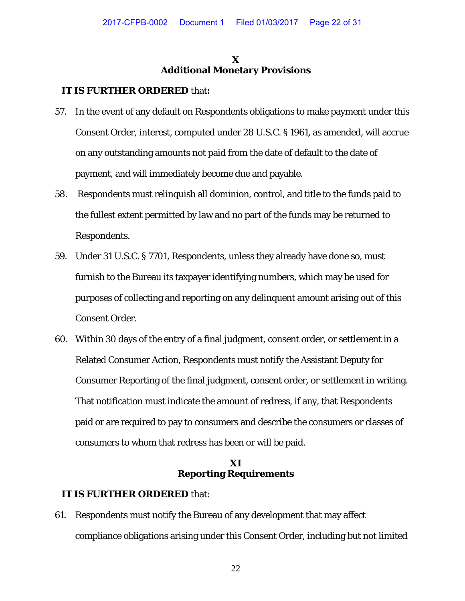### **X Additional Monetary Provisions**

#### **IT IS FURTHER ORDERED** that**:**

- 57. In the event of any default on Respondents obligations to make payment under this Consent Order, interest, computed under 28 U.S.C. § 1961, as amended, will accrue on any outstanding amounts not paid from the date of default to the date of payment, and will immediately become due and payable.
- 58. Respondents must relinquish all dominion, control, and title to the funds paid to the fullest extent permitted by law and no part of the funds may be returned to Respondents.
- 59. Under 31 U.S.C. § 7701, Respondents, unless they already have done so, must furnish to the Bureau its taxpayer identifying numbers, which may be used for purposes of collecting and reporting on any delinquent amount arising out of this Consent Order.
- 60. Within 30 days of the entry of a final judgment, consent order, or settlement in a Related Consumer Action, Respondents must notify the Assistant Deputy for Consumer Reporting of the final judgment, consent order, or settlement in writing. That notification must indicate the amount of redress, if any, that Respondents paid or are required to pay to consumers and describe the consumers or classes of consumers to whom that redress has been or will be paid.

# **XI Reporting Requirements**

### **IT IS FURTHER ORDERED** that:

61. Respondents must notify the Bureau of any development that may affect compliance obligations arising under this Consent Order, including but not limited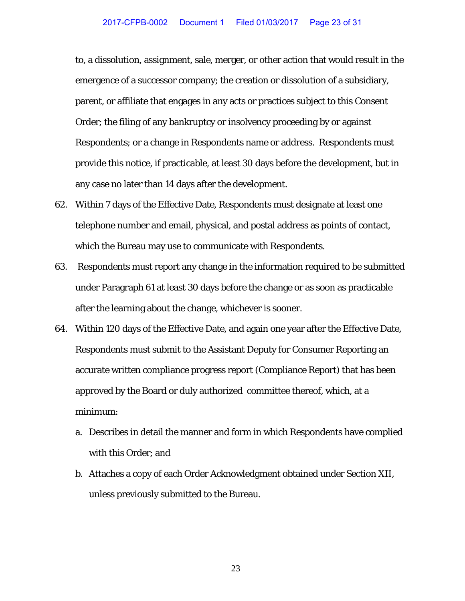to, a dissolution, assignment, sale, merger, or other action that would result in the emergence of a successor company; the creation or dissolution of a subsidiary, parent, or affiliate that engages in any acts or practices subject to this Consent Order; the filing of any bankruptcy or insolvency proceeding by or against Respondents; or a change in Respondents name or address. Respondents must provide this notice, if practicable, at least 30 days before the development, but in any case no later than 14 days after the development.

- 62. Within 7 days of the Effective Date, Respondents must designate at least one telephone number and email, physical, and postal address as points of contact, which the Bureau may use to communicate with Respondents.
- 63. Respondents must report any change in the information required to be submitted under Paragraph 61 at least 30 days before the change or as soon as practicable after the learning about the change, whichever is sooner.
- 64. Within 120 days of the Effective Date, and again one year after the Effective Date, Respondents must submit to the Assistant Deputy for Consumer Reporting an accurate written compliance progress report (Compliance Report) that has been approved by the Board or duly authorized committee thereof, which, at a minimum:
	- a. Describes in detail the manner and form in which Respondents have complied with this Order; and
	- b. Attaches a copy of each Order Acknowledgment obtained under Section XII, unless previously submitted to the Bureau.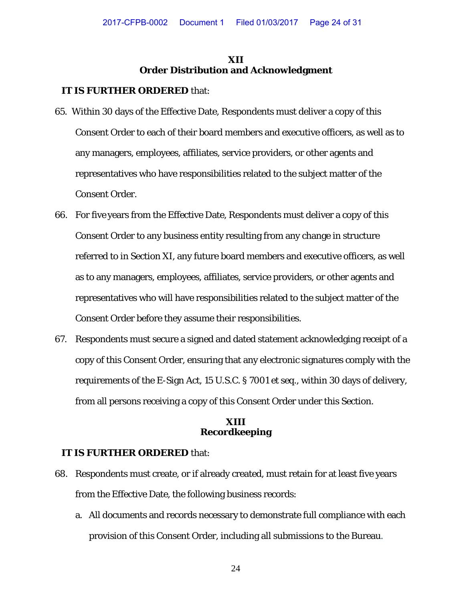# **XII Order Distribution and Acknowledgment**

# **IT IS FURTHER ORDERED** that:

- 65. Within 30 days of the Effective Date, Respondents must deliver a copy of this Consent Order to each of their board members and executive officers, as well as to any managers, employees, affiliates, service providers, or other agents and representatives who have responsibilities related to the subject matter of the Consent Order.
- 66. For five years from the Effective Date, Respondents must deliver a copy of this Consent Order to any business entity resulting from any change in structure referred to in Section XI, any future board members and executive officers, as well as to any managers, employees, affiliates, service providers, or other agents and representatives who will have responsibilities related to the subject matter of the Consent Order before they assume their responsibilities.
- 67. Respondents must secure a signed and dated statement acknowledging receipt of a copy of this Consent Order, ensuring that any electronic signatures comply with the requirements of the E-Sign Act, 15 U.S.C. § 7001 *et seq.*, within 30 days of delivery, from all persons receiving a copy of this Consent Order under this Section.

#### **XIII Recordkeeping**

- 68. Respondents must create, or if already created, must retain for at least five years from the Effective Date, the following business records:
	- a. All documents and records necessary to demonstrate full compliance with each provision of this Consent Order, including all submissions to the Bureau.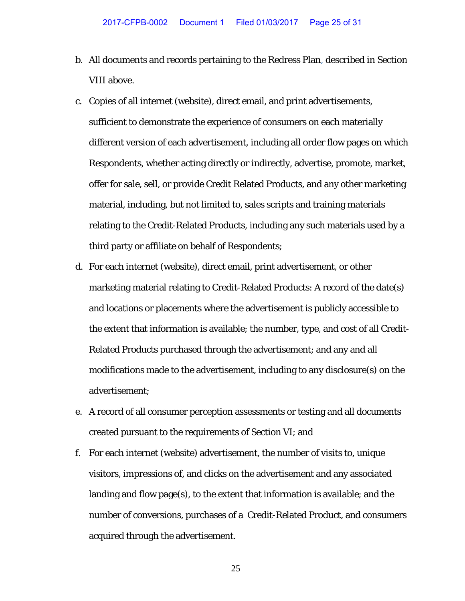- b. All documents and records pertaining to the Redress Plan, described in Section VIII above.
- c. Copies of all internet (website), direct email, and print advertisements, sufficient to demonstrate the experience of consumers on each materially different version of each advertisement, including all order flow pages on which Respondents, whether acting directly or indirectly, advertise, promote, market, offer for sale, sell, or provide Credit Related Products, and any other marketing material, including, but not limited to, sales scripts and training materials relating to the Credit-Related Products, including any such materials used by a third party or affiliate on behalf of Respondents;
- d. For each internet (website), direct email, print advertisement, or other marketing material relating to Credit-Related Products: A record of the date(s) and locations or placements where the advertisement is publicly accessible to the extent that information is available; the number, type, and cost of all Credit-Related Products purchased through the advertisement; and any and all modifications made to the advertisement, including to any disclosure(s) on the advertisement;
- e. A record of all consumer perception assessments or testing and all documents created pursuant to the requirements of Section VI; and
- f. For each internet (website) advertisement, the number of visits to, unique visitors, impressions of, and clicks on the advertisement and any associated landing and flow page(s), to the extent that information is available; and the number of conversions, purchases of a Credit-Related Product, and consumers acquired through the advertisement.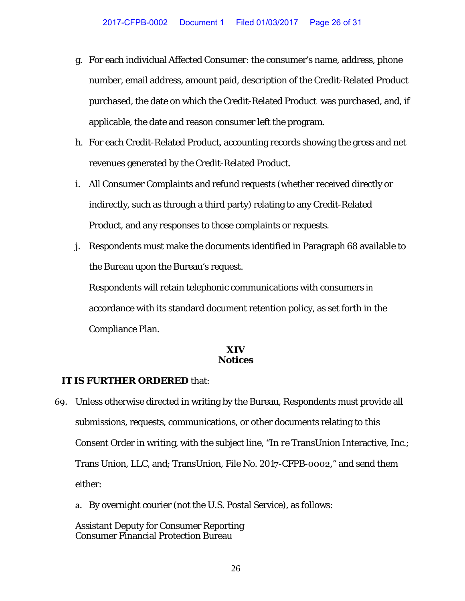- g. For each individual Affected Consumer: the consumer's name, address, phone number, email address, amount paid, description of the Credit-Related Product purchased, the date on which the Credit-Related Product was purchased, and, if applicable, the date and reason consumer left the program.
- h. For each Credit-Related Product, accounting records showing the gross and net revenues generated by the Credit-Related Product.
- i. All Consumer Complaints and refund requests (whether received directly or indirectly, such as through a third party) relating to any Credit-Related Product, and any responses to those complaints or requests.
- j. Respondents must make the documents identified in Paragraph 68 available to the Bureau upon the Bureau's request.

Respondents will retain telephonic communications with consumers in accordance with its standard document retention policy, as set forth in the Compliance Plan.

#### **XIV Notices**

### **IT IS FURTHER ORDERED** that:

- 69. Unless otherwise directed in writing by the Bureau, Respondents must provide all submissions, requests, communications, or other documents relating to this Consent Order in writing, with the subject line, "*In re* TransUnion Interactive, Inc.; Trans Union, LLC, and; TransUnion, File No. 2017-CFPB-0002," and send them either:
	- a. By overnight courier (not the U.S. Postal Service), as follows:

Assistant Deputy for Consumer Reporting Consumer Financial Protection Bureau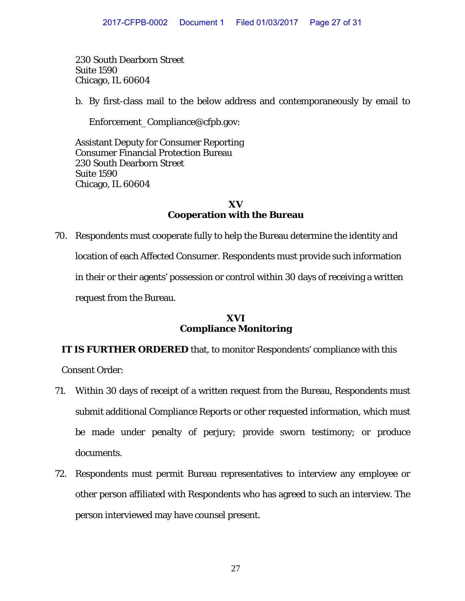230 South Dearborn Street Suite 1590 Chicago, IL 60604

b. By first-class mail to the below address and contemporaneously by email to

Enforcement\_Compliance@cfpb.gov:

Assistant Deputy for Consumer Reporting Consumer Financial Protection Bureau 230 South Dearborn Street Suite 1590 Chicago, IL 60604

### **XV Cooperation with the Bureau**

70. Respondents must cooperate fully to help the Bureau determine the identity and location of each Affected Consumer. Respondents must provide such information in their or their agents' possession or control within 30 days of receiving a written request from the Bureau.

# **XVI Compliance Monitoring**

# **IT IS FURTHER ORDERED** that, to monitor Respondents' compliance with this

Consent Order:

- 71. Within 30 days of receipt of a written request from the Bureau, Respondents must submit additional Compliance Reports or other requested information, which must be made under penalty of perjury; provide sworn testimony; or produce documents.
- 72. Respondents must permit Bureau representatives to interview any employee or other person affiliated with Respondents who has agreed to such an interview. The person interviewed may have counsel present.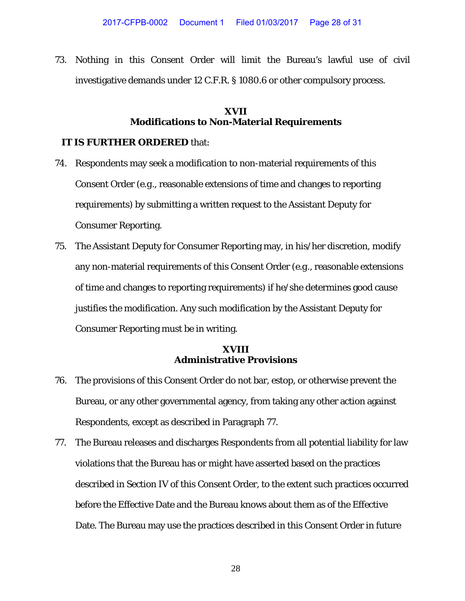73. Nothing in this Consent Order will limit the Bureau's lawful use of civil investigative demands under 12 C.F.R. § 1080.6 or other compulsory process.

#### **XVII Modifications to Non-Material Requirements**

#### **IT IS FURTHER ORDERED** that:

- 74. Respondents may seek a modification to non-material requirements of this Consent Order (*e.g*., reasonable extensions of time and changes to reporting requirements) by submitting a written request to the Assistant Deputy for Consumer Reporting.
- 75. The Assistant Deputy for Consumer Reporting may, in his/her discretion, modify any non-material requirements of this Consent Order (*e.g*., reasonable extensions of time and changes to reporting requirements) if he/she determines good cause justifies the modification. Any such modification by the Assistant Deputy for Consumer Reporting must be in writing.

#### **XVIII Administrative Provisions**

- 76. The provisions of this Consent Order do not bar, estop, or otherwise prevent the Bureau, or any other governmental agency, from taking any other action against Respondents, except as described in Paragraph 77.
- 77. The Bureau releases and discharges Respondents from all potential liability for law violations that the Bureau has or might have asserted based on the practices described in Section IV of this Consent Order, to the extent such practices occurred before the Effective Date and the Bureau knows about them as of the Effective Date. The Bureau may use the practices described in this Consent Order in future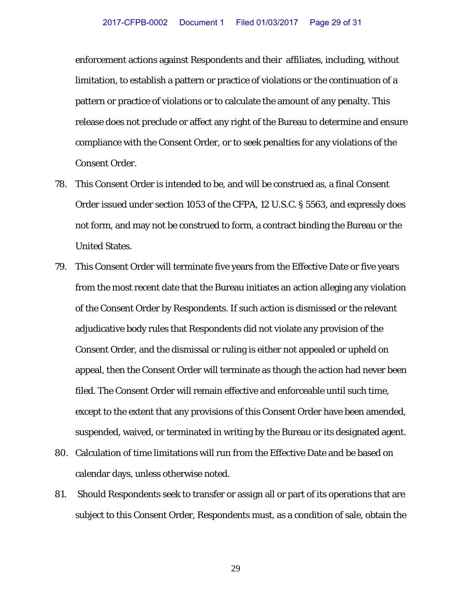enforcement actions against Respondents and their affiliates, including, without limitation, to establish a pattern or practice of violations or the continuation of a pattern or practice of violations or to calculate the amount of any penalty. This release does not preclude or affect any right of the Bureau to determine and ensure compliance with the Consent Order, or to seek penalties for any violations of the Consent Order.

- 78. This Consent Order is intended to be, and will be construed as, a final Consent Order issued under section 1053 of the CFPA, 12 U.S.C. § 5563, and expressly does not form, and may not be construed to form, a contract binding the Bureau or the United States.
- 79. This Consent Order will terminate five years from the Effective Date or five years from the most recent date that the Bureau initiates an action alleging any violation of the Consent Order by Respondents. If such action is dismissed or the relevant adjudicative body rules that Respondents did not violate any provision of the Consent Order, and the dismissal or ruling is either not appealed or upheld on appeal, then the Consent Order will terminate as though the action had never been filed. The Consent Order will remain effective and enforceable until such time, except to the extent that any provisions of this Consent Order have been amended, suspended, waived, or terminated in writing by the Bureau or its designated agent.
- 80. Calculation of time limitations will run from the Effective Date and be based on calendar days, unless otherwise noted.
- 81. Should Respondents seek to transfer or assign all or part of its operations that are subject to this Consent Order, Respondents must, as a condition of sale, obtain the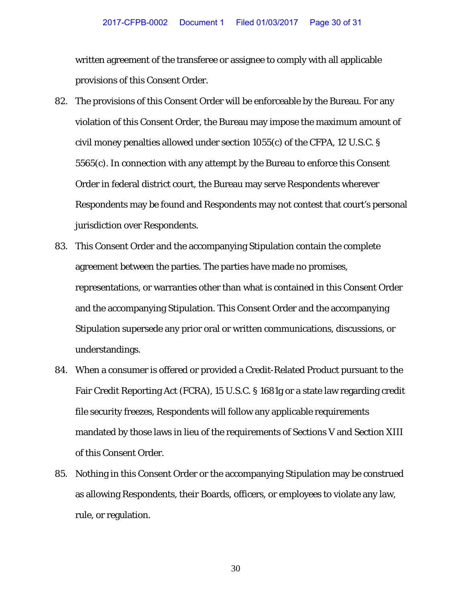written agreement of the transferee or assignee to comply with all applicable provisions of this Consent Order.

- 82. The provisions of this Consent Order will be enforceable by the Bureau. For any violation of this Consent Order, the Bureau may impose the maximum amount of civil money penalties allowed under section 1055(c) of the CFPA, 12 U.S.C. § 5565(c). In connection with any attempt by the Bureau to enforce this Consent Order in federal district court, the Bureau may serve Respondents wherever Respondents may be found and Respondents may not contest that court's personal jurisdiction over Respondents.
- 83. This Consent Order and the accompanying Stipulation contain the complete agreement between the parties. The parties have made no promises, representations, or warranties other than what is contained in this Consent Order and the accompanying Stipulation. This Consent Order and the accompanying Stipulation supersede any prior oral or written communications, discussions, or understandings.
- 84. When a consumer is offered or provided a Credit-Related Product pursuant to the Fair Credit Reporting Act (FCRA), 15 U.S.C. § 1681g or a state law regarding credit file security freezes, Respondents will follow any applicable requirements mandated by those laws in lieu of the requirements of Sections V and Section XIII of this Consent Order.
- 85. Nothing in this Consent Order or the accompanying Stipulation may be construed as allowing Respondents, their Boards, officers, or employees to violate any law, rule, or regulation.